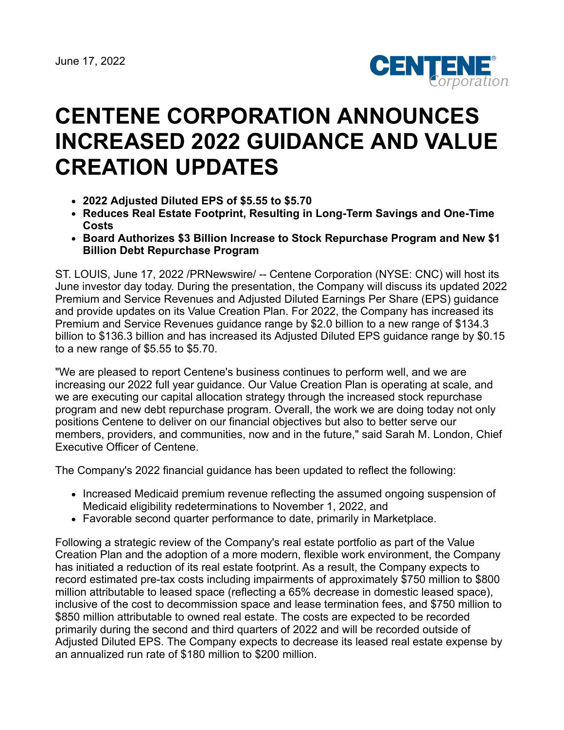

# **CENTENE CORPORATION ANNOUNCES INCREASED 2022 GUIDANCE AND VALUE CREATION UPDATES**

- **2022 Adjusted Diluted EPS of \$5.55 to \$5.70**
- **Reduces Real Estate Footprint, Resulting in Long-Term Savings and One-Time Costs**
- **Board Authorizes \$3 Billion Increase to Stock Repurchase Program and New \$1 Billion Debt Repurchase Program**

ST. LOUIS, June 17, 2022 /PRNewswire/ -- Centene Corporation (NYSE: CNC) will host its June investor day today. During the presentation, the Company will discuss its updated 2022 Premium and Service Revenues and Adjusted Diluted Earnings Per Share (EPS) guidance and provide updates on its Value Creation Plan. For 2022, the Company has increased its Premium and Service Revenues guidance range by \$2.0 billion to a new range of \$134.3 billion to \$136.3 billion and has increased its Adjusted Diluted EPS guidance range by \$0.15 to a new range of \$5.55 to \$5.70.

"We are pleased to report Centene's business continues to perform well, and we are increasing our 2022 full year guidance. Our Value Creation Plan is operating at scale, and we are executing our capital allocation strategy through the increased stock repurchase program and new debt repurchase program. Overall, the work we are doing today not only positions Centene to deliver on our financial objectives but also to better serve our members, providers, and communities, now and in the future," said Sarah M. London, Chief Executive Officer of Centene.

The Company's 2022 financial guidance has been updated to reflect the following:

- Increased Medicaid premium revenue reflecting the assumed ongoing suspension of Medicaid eligibility redeterminations to November 1, 2022, and
- Favorable second quarter performance to date, primarily in Marketplace.

Following a strategic review of the Company's real estate portfolio as part of the Value Creation Plan and the adoption of a more modern, flexible work environment, the Company has initiated a reduction of its real estate footprint. As a result, the Company expects to record estimated pre-tax costs including impairments of approximately \$750 million to \$800 million attributable to leased space (reflecting a 65% decrease in domestic leased space), inclusive of the cost to decommission space and lease termination fees, and \$750 million to \$850 million attributable to owned real estate. The costs are expected to be recorded primarily during the second and third quarters of 2022 and will be recorded outside of Adjusted Diluted EPS. The Company expects to decrease its leased real estate expense by an annualized run rate of \$180 million to \$200 million.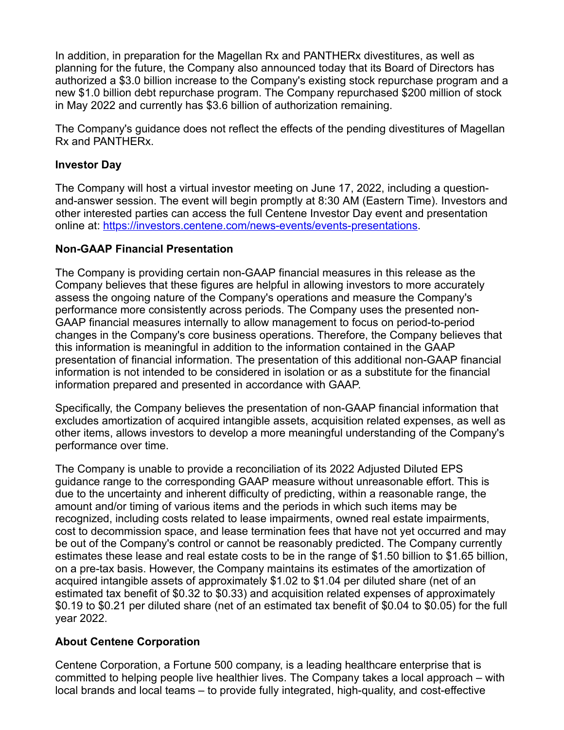In addition, in preparation for the Magellan Rx and PANTHERx divestitures, as well as planning for the future, the Company also announced today that its Board of Directors has authorized a \$3.0 billion increase to the Company's existing stock repurchase program and a new \$1.0 billion debt repurchase program. The Company repurchased \$200 million of stock in May 2022 and currently has \$3.6 billion of authorization remaining.

The Company's guidance does not reflect the effects of the pending divestitures of Magellan Rx and PANTHERx.

### **Investor Day**

The Company will host a virtual investor meeting on June 17, 2022, including a questionand-answer session. The event will begin promptly at 8:30 AM (Eastern Time). Investors and other interested parties can access the full Centene Investor Day event and presentation online at: [https://investors.centene.com/news-events/events-presentations.](https://investors.centene.com/news-events/events-presentations)

#### **Non-GAAP Financial Presentation**

The Company is providing certain non-GAAP financial measures in this release as the Company believes that these figures are helpful in allowing investors to more accurately assess the ongoing nature of the Company's operations and measure the Company's performance more consistently across periods. The Company uses the presented non-GAAP financial measures internally to allow management to focus on period-to-period changes in the Company's core business operations. Therefore, the Company believes that this information is meaningful in addition to the information contained in the GAAP presentation of financial information. The presentation of this additional non-GAAP financial information is not intended to be considered in isolation or as a substitute for the financial information prepared and presented in accordance with GAAP.

Specifically, the Company believes the presentation of non-GAAP financial information that excludes amortization of acquired intangible assets, acquisition related expenses, as well as other items, allows investors to develop a more meaningful understanding of the Company's performance over time.

The Company is unable to provide a reconciliation of its 2022 Adjusted Diluted EPS guidance range to the corresponding GAAP measure without unreasonable effort. This is due to the uncertainty and inherent difficulty of predicting, within a reasonable range, the amount and/or timing of various items and the periods in which such items may be recognized, including costs related to lease impairments, owned real estate impairments, cost to decommission space, and lease termination fees that have not yet occurred and may be out of the Company's control or cannot be reasonably predicted. The Company currently estimates these lease and real estate costs to be in the range of \$1.50 billion to \$1.65 billion, on a pre-tax basis. However, the Company maintains its estimates of the amortization of acquired intangible assets of approximately \$1.02 to \$1.04 per diluted share (net of an estimated tax benefit of \$0.32 to \$0.33) and acquisition related expenses of approximately \$0.19 to \$0.21 per diluted share (net of an estimated tax benefit of \$0.04 to \$0.05) for the full year 2022.

## **About Centene Corporation**

Centene Corporation, a Fortune 500 company, is a leading healthcare enterprise that is committed to helping people live healthier lives. The Company takes a local approach – with local brands and local teams – to provide fully integrated, high-quality, and cost-effective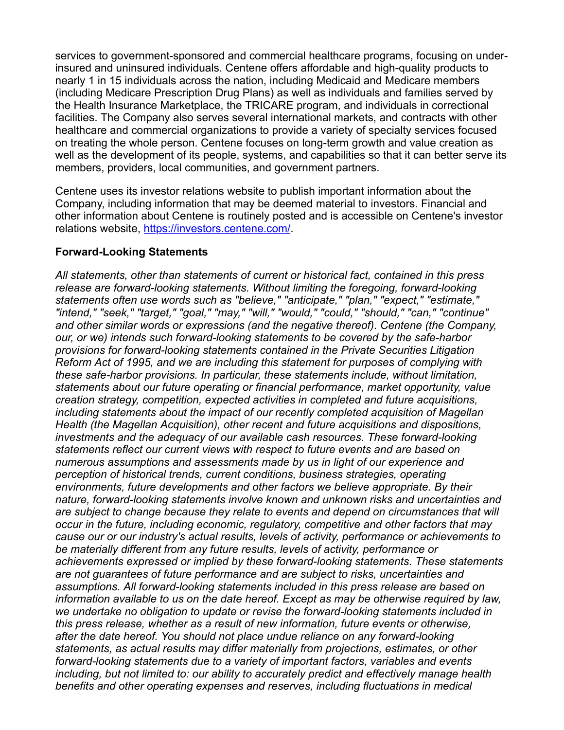services to government-sponsored and commercial healthcare programs, focusing on underinsured and uninsured individuals. Centene offers affordable and high-quality products to nearly 1 in 15 individuals across the nation, including Medicaid and Medicare members (including Medicare Prescription Drug Plans) as well as individuals and families served by the Health Insurance Marketplace, the TRICARE program, and individuals in correctional facilities. The Company also serves several international markets, and contracts with other healthcare and commercial organizations to provide a variety of specialty services focused on treating the whole person. Centene focuses on long-term growth and value creation as well as the development of its people, systems, and capabilities so that it can better serve its members, providers, local communities, and government partners.

Centene uses its investor relations website to publish important information about the Company, including information that may be deemed material to investors. Financial and other information about Centene is routinely posted and is accessible on Centene's investor relations website, [https://investors.centene.com/.](https://investors.centene.com/)

#### **Forward-Looking Statements**

*All statements, other than statements of current or historical fact, contained in this press release are forward-looking statements. Without limiting the foregoing, forward-looking statements often use words such as "believe," "anticipate," "plan," "expect," "estimate," "intend," "seek," "target," "goal," "may," "will," "would," "could," "should," "can," "continue" and other similar words or expressions (and the negative thereof). Centene (the Company, our, or we) intends such forward-looking statements to be covered by the safe-harbor provisions for forward-looking statements contained in the Private Securities Litigation Reform Act of 1995, and we are including this statement for purposes of complying with these safe-harbor provisions. In particular, these statements include, without limitation, statements about our future operating or financial performance, market opportunity, value creation strategy, competition, expected activities in completed and future acquisitions, including statements about the impact of our recently completed acquisition of Magellan Health (the Magellan Acquisition), other recent and future acquisitions and dispositions, investments and the adequacy of our available cash resources. These forward-looking statements reflect our current views with respect to future events and are based on numerous assumptions and assessments made by us in light of our experience and perception of historical trends, current conditions, business strategies, operating environments, future developments and other factors we believe appropriate. By their nature, forward-looking statements involve known and unknown risks and uncertainties and* are subject to change because they relate to events and depend on circumstances that will *occur in the future, including economic, regulatory, competitive and other factors that may cause our or our industry's actual results, levels of activity, performance or achievements to be materially different from any future results, levels of activity, performance or achievements expressed or implied by these forward-looking statements. These statements are not guarantees of future performance and are subject to risks, uncertainties and assumptions. All forward-looking statements included in this press release are based on information available to us on the date hereof. Except as may be otherwise required by law, we undertake no obligation to update or revise the forward-looking statements included in this press release, whether as a result of new information, future events or otherwise, after the date hereof. You should not place undue reliance on any forward-looking statements, as actual results may differ materially from projections, estimates, or other forward-looking statements due to a variety of important factors, variables and events including, but not limited to: our ability to accurately predict and effectively manage health benefits and other operating expenses and reserves, including fluctuations in medical*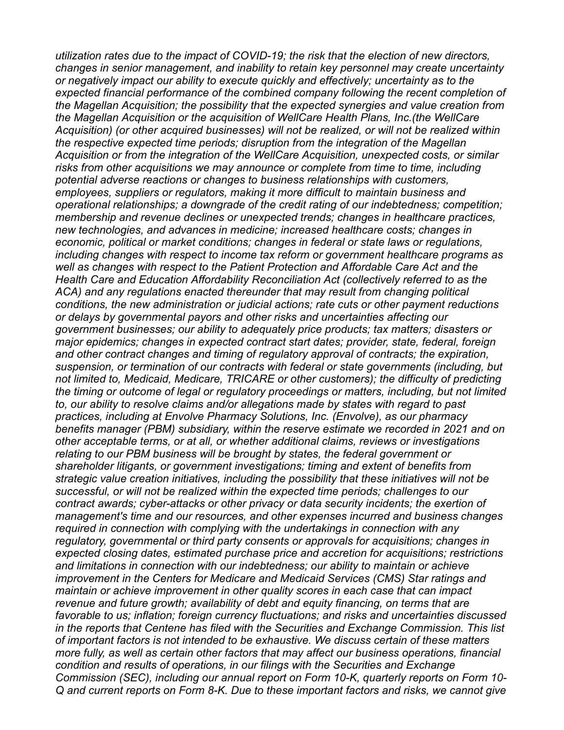*utilization rates due to the impact of COVID-19; the risk that the election of new directors, changes in senior management, and inability to retain key personnel may create uncertainty or negatively impact our ability to execute quickly and effectively; uncertainty as to the expected financial performance of the combined company following the recent completion of the Magellan Acquisition; the possibility that the expected synergies and value creation from the Magellan Acquisition or the acquisition of WellCare Health Plans, Inc.(the WellCare Acquisition) (or other acquired businesses) will not be realized, or will not be realized within the respective expected time periods; disruption from the integration of the Magellan Acquisition or from the integration of the WellCare Acquisition, unexpected costs, or similar risks from other acquisitions we may announce or complete from time to time, including potential adverse reactions or changes to business relationships with customers, employees, suppliers or regulators, making it more difficult to maintain business and operational relationships; a downgrade of the credit rating of our indebtedness; competition; membership and revenue declines or unexpected trends; changes in healthcare practices, new technologies, and advances in medicine; increased healthcare costs; changes in economic, political or market conditions; changes in federal or state laws or regulations, including changes with respect to income tax reform or government healthcare programs as well as changes with respect to the Patient Protection and Affordable Care Act and the Health Care and Education Affordability Reconciliation Act (collectively referred to as the ACA) and any regulations enacted thereunder that may result from changing political conditions, the new administration or judicial actions; rate cuts or other payment reductions or delays by governmental payors and other risks and uncertainties affecting our government businesses; our ability to adequately price products; tax matters; disasters or major epidemics; changes in expected contract start dates; provider, state, federal, foreign and other contract changes and timing of regulatory approval of contracts; the expiration, suspension, or termination of our contracts with federal or state governments (including, but not limited to, Medicaid, Medicare, TRICARE or other customers); the difficulty of predicting the timing or outcome of legal or regulatory proceedings or matters, including, but not limited to, our ability to resolve claims and/or allegations made by states with regard to past practices, including at Envolve Pharmacy Solutions, Inc. (Envolve), as our pharmacy benefits manager (PBM) subsidiary, within the reserve estimate we recorded in 2021 and on other acceptable terms, or at all, or whether additional claims, reviews or investigations relating to our PBM business will be brought by states, the federal government or shareholder litigants, or government investigations; timing and extent of benefits from strategic value creation initiatives, including the possibility that these initiatives will not be successful, or will not be realized within the expected time periods; challenges to our contract awards; cyber-attacks or other privacy or data security incidents; the exertion of management's time and our resources, and other expenses incurred and business changes required in connection with complying with the undertakings in connection with any regulatory, governmental or third party consents or approvals for acquisitions; changes in expected closing dates, estimated purchase price and accretion for acquisitions; restrictions and limitations in connection with our indebtedness; our ability to maintain or achieve improvement in the Centers for Medicare and Medicaid Services (CMS) Star ratings and maintain or achieve improvement in other quality scores in each case that can impact revenue and future growth; availability of debt and equity financing, on terms that are favorable to us; inflation; foreign currency fluctuations; and risks and uncertainties discussed in the reports that Centene has filed with the Securities and Exchange Commission. This list of important factors is not intended to be exhaustive. We discuss certain of these matters more fully, as well as certain other factors that may affect our business operations, financial condition and results of operations, in our filings with the Securities and Exchange Commission (SEC), including our annual report on Form 10-K, quarterly reports on Form 10- Q and current reports on Form 8-K. Due to these important factors and risks, we cannot give*